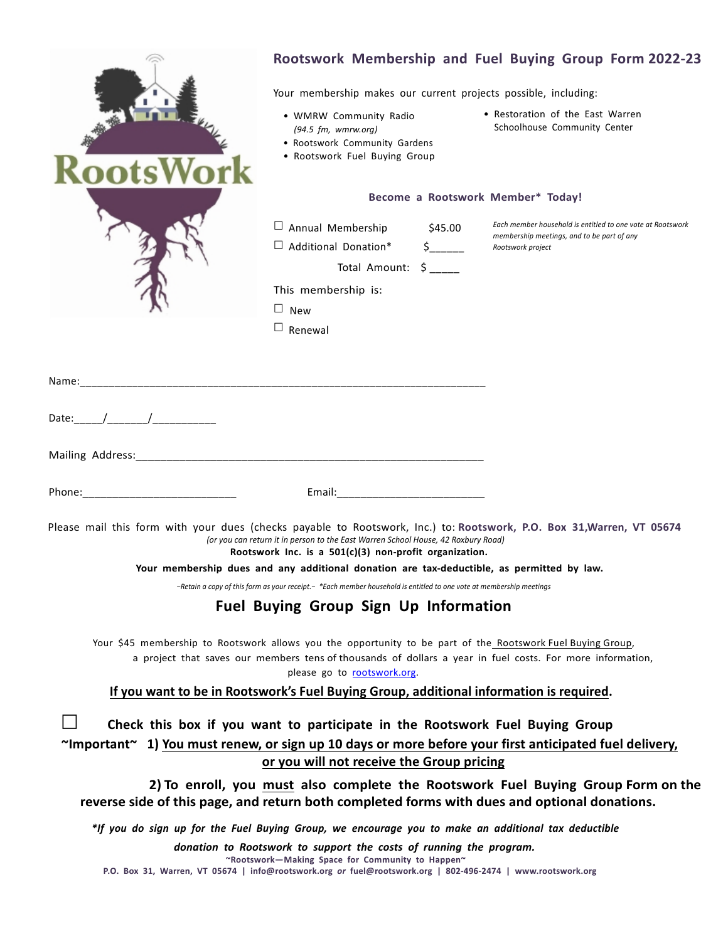|             | Rootswork Membership and Fuel Buying Group Form 2022-23                                                                                                                                                                                                                                                                                  |
|-------------|------------------------------------------------------------------------------------------------------------------------------------------------------------------------------------------------------------------------------------------------------------------------------------------------------------------------------------------|
|             | Your membership makes our current projects possible, including:                                                                                                                                                                                                                                                                          |
|             | • Restoration of the East Warren<br>• WMRW Community Radio<br>Schoolhouse Community Center<br>$(94.5 \text{ fm}, \text{wmrw.org})$<br>• Rootswork Community Gardens<br>• Rootswork Fuel Buying Group                                                                                                                                     |
|             | Become a Rootswork Member* Today!                                                                                                                                                                                                                                                                                                        |
|             | Each member household is entitled to one vote at Rootswork<br>$\Box$ Annual Membership<br>\$45.00<br>membership meetings, and to be part of any<br>$\Box$ Additional Donation*<br>$\mathsf{\dot{S}}$ , and the set of $\mathsf{\dot{S}}$<br>Rootswork project<br>Total Amount: \$<br>This membership is:<br>$\Box$ New<br>$\Box$ Renewal |
| Name:       |                                                                                                                                                                                                                                                                                                                                          |
| Date: $/$ / |                                                                                                                                                                                                                                                                                                                                          |
|             |                                                                                                                                                                                                                                                                                                                                          |
|             |                                                                                                                                                                                                                                                                                                                                          |
|             | Email: 2008                                                                                                                                                                                                                                                                                                                              |
|             | Please mail this form with your dues (checks payable to Rootswork, Inc.) to: Rootswork, P.O. Box 31, Warren, VT 05674<br>(or you can return it in person to the East Warren School House, 42 Roxbury Road)<br>Rootswork Inc. is a 501(c)(3) non-profit organization.                                                                     |
|             | Your membership dues and any additional donation are tax-deductible, as permitted by law.<br>$-$ Retain a copy of this form as your receipt. $-$ *Each member household is entitled to one vote at membership meetings                                                                                                                   |
|             | <b>Fuel Buying Group Sign Up Information</b>                                                                                                                                                                                                                                                                                             |
|             | Your \$45 membership to Rootswork allows you the opportunity to be part of the Rootswork Fuel Buying Group,<br>a project that saves our members tens of thousands of dollars a year in fuel costs. For more information,<br>please go to rootswork.org.                                                                                  |
|             | If you want to be in Rootswork's Fuel Buying Group, additional information is required.                                                                                                                                                                                                                                                  |
|             | Check this box if you want to participate in the Rootswork Fuel Buying Group                                                                                                                                                                                                                                                             |
|             | $\gamma$ Important $\gamma$ 1) You must renew, or sign up 10 days or more before your first anticipated fuel delivery,                                                                                                                                                                                                                   |
|             | or you will not receive the Group pricing                                                                                                                                                                                                                                                                                                |
|             | 2) To enroll, you must also complete the Rootswork Fuel Buying Group Form on the<br>reverse side of this page, and return both completed forms with dues and optional donations.                                                                                                                                                         |
|             | *If you do sign up for the Fuel Buying Group, we encourage you to make an additional tax deductible                                                                                                                                                                                                                                      |
|             | donation to Rootswork to support the costs of running the program.<br>"Rootswork-Making Space for Community to Happen"                                                                                                                                                                                                                   |

**P.O. Box 31, Warren, VT 05674 | info@rootswork.org** *or* **fuel@rootswork.org | 802-496-2474 | www.rootswork.org**